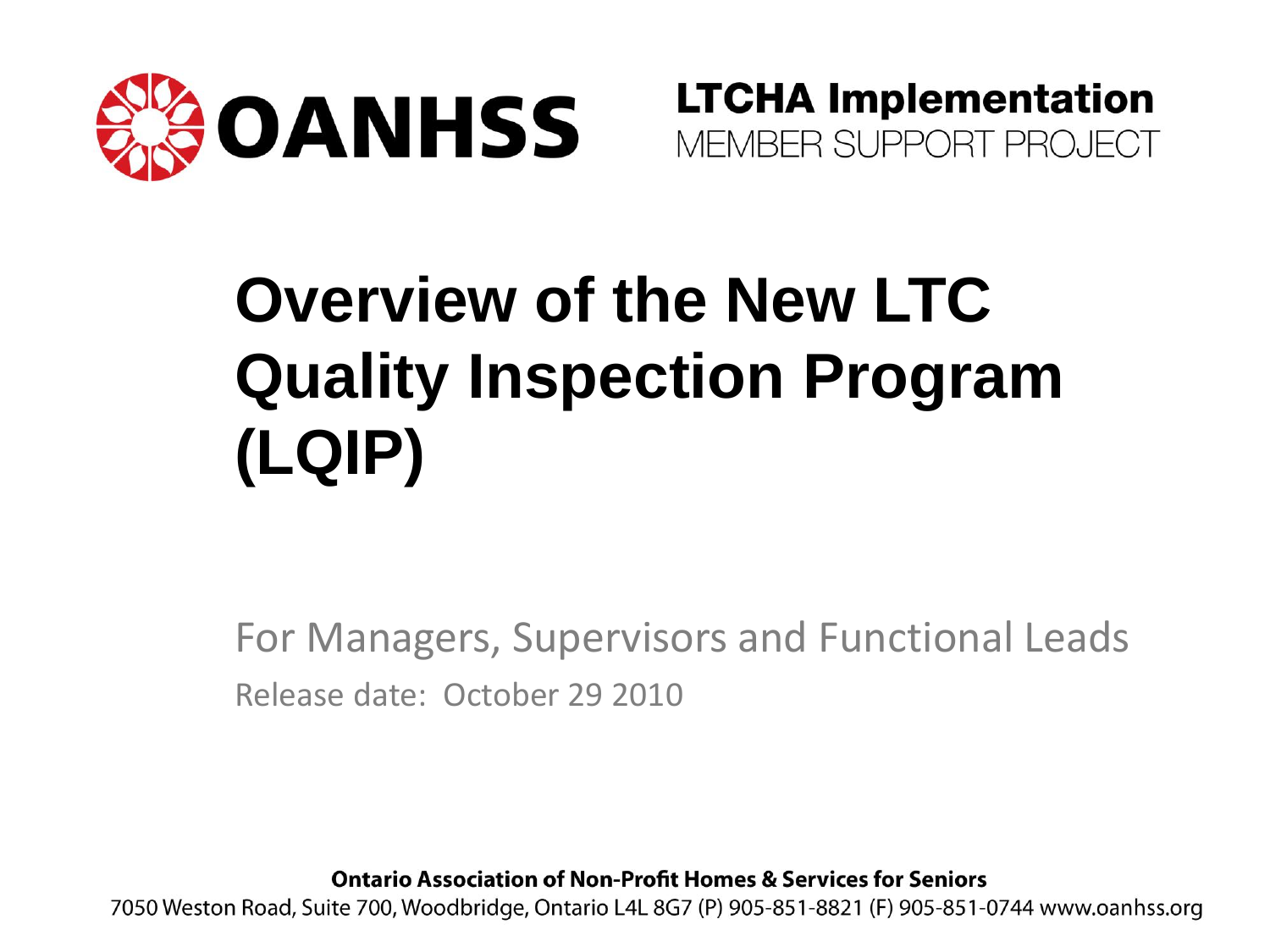

**LTCHA Implementation** MEMBER SUPPORT PROJECT

## **Overview of the New LTC Quality Inspection Program (LQIP)**

For Managers, Supervisors and Functional Leads Release date: October 29 2010

**Ontario Association of Non-Profit Homes & Services for Seniors** 

7050 Weston Road, Suite 700, Woodbridge, Ontario L4L 8G7 (P) 905-851-8821 (F) 905-851-0744 www.oanhss.org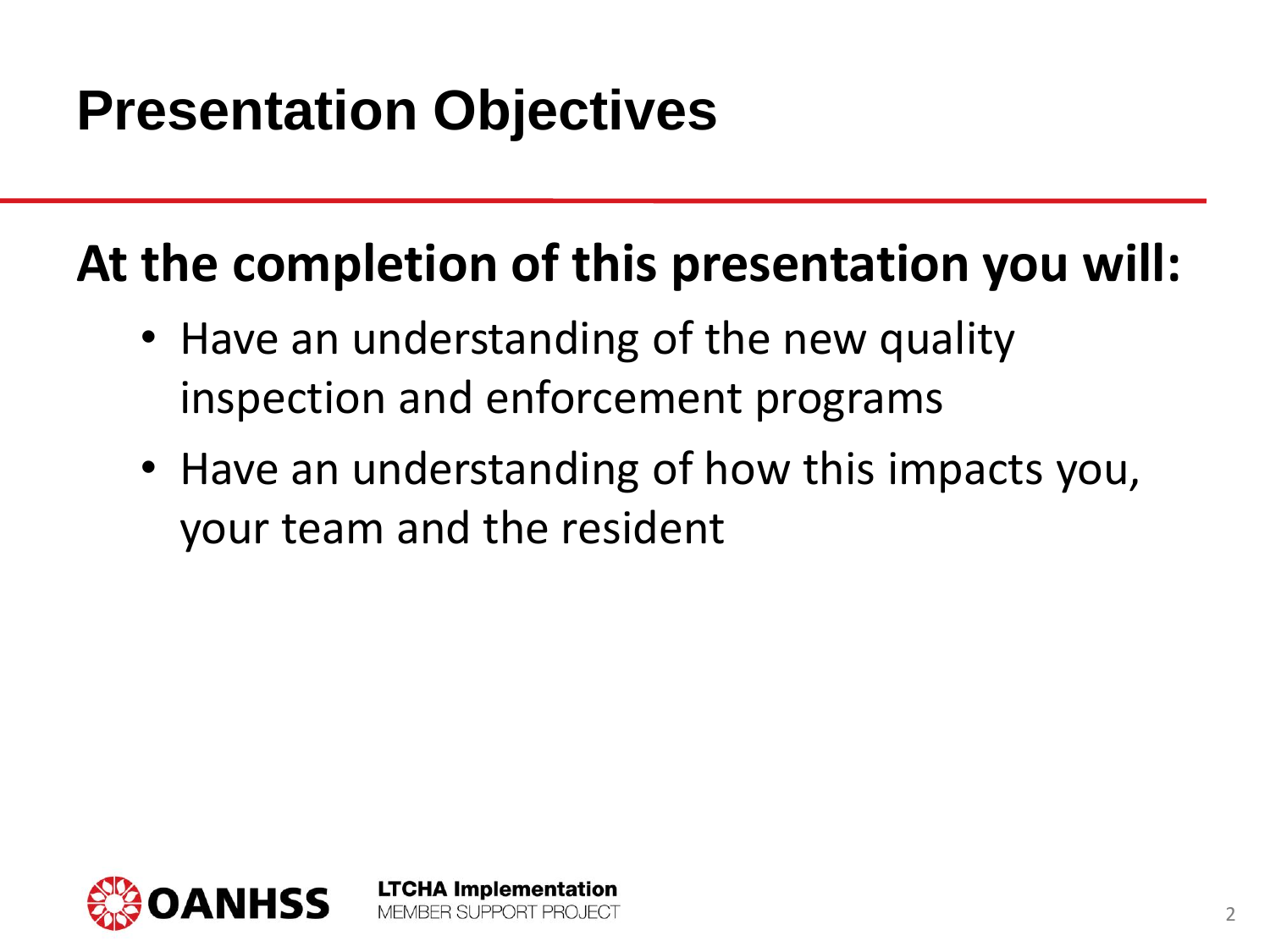#### **Presentation Objectives**

#### **At the completion of this presentation you will:**

• Have an understanding of the new quality inspection and enforcement programs

> **LTCHA Implementation** MEMBER SUPPORT PROJECT

• Have an understanding of how this impacts you, your team and the resident

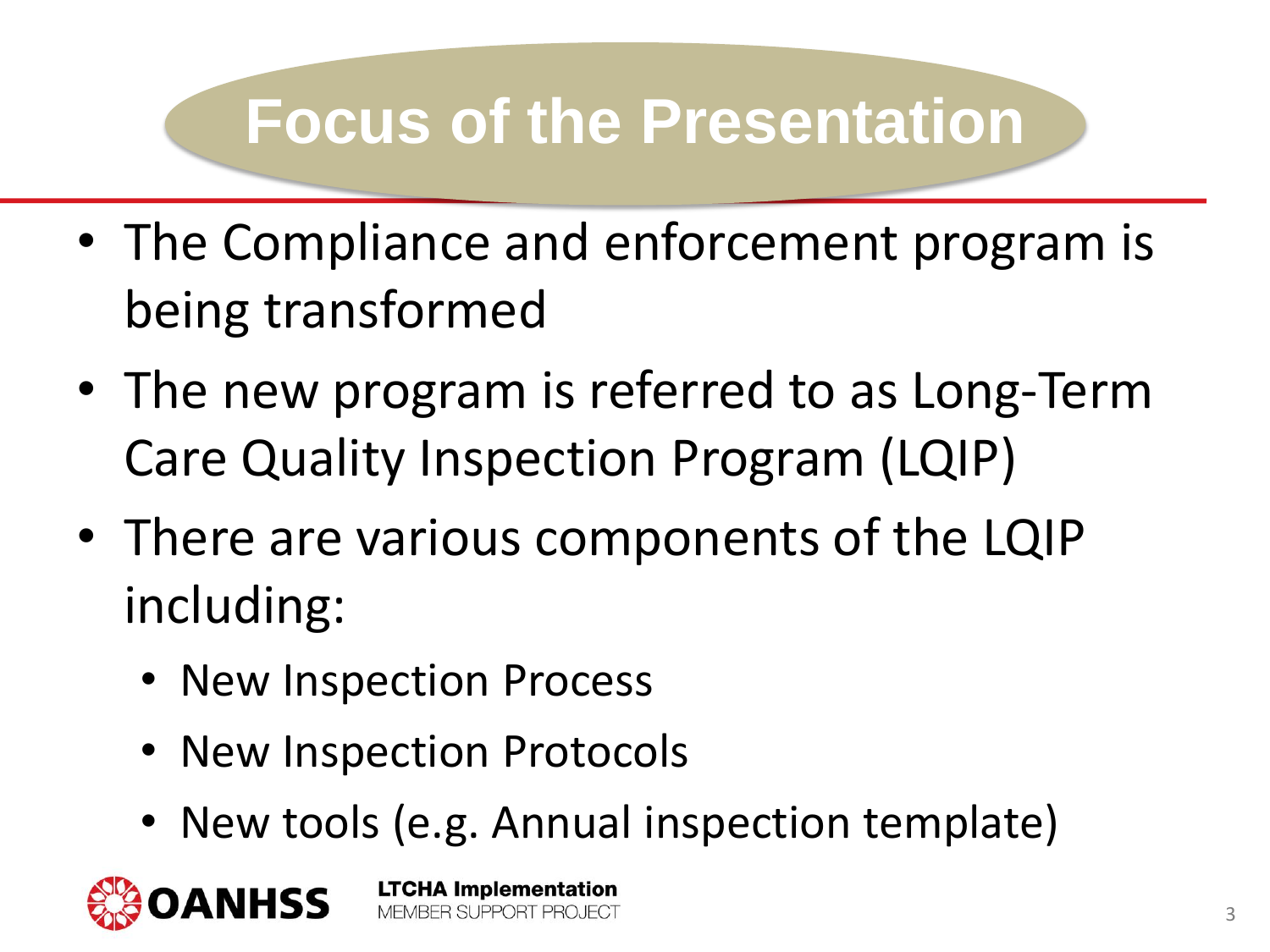### **Focus of the Presentation**

- The Compliance and enforcement program is being transformed
- The new program is referred to as Long-Term Care Quality Inspection Program (LQIP)
- There are various components of the LQIP including:
	- New Inspection Process
	- New Inspection Protocols
	- New tools (e.g. Annual inspection template)

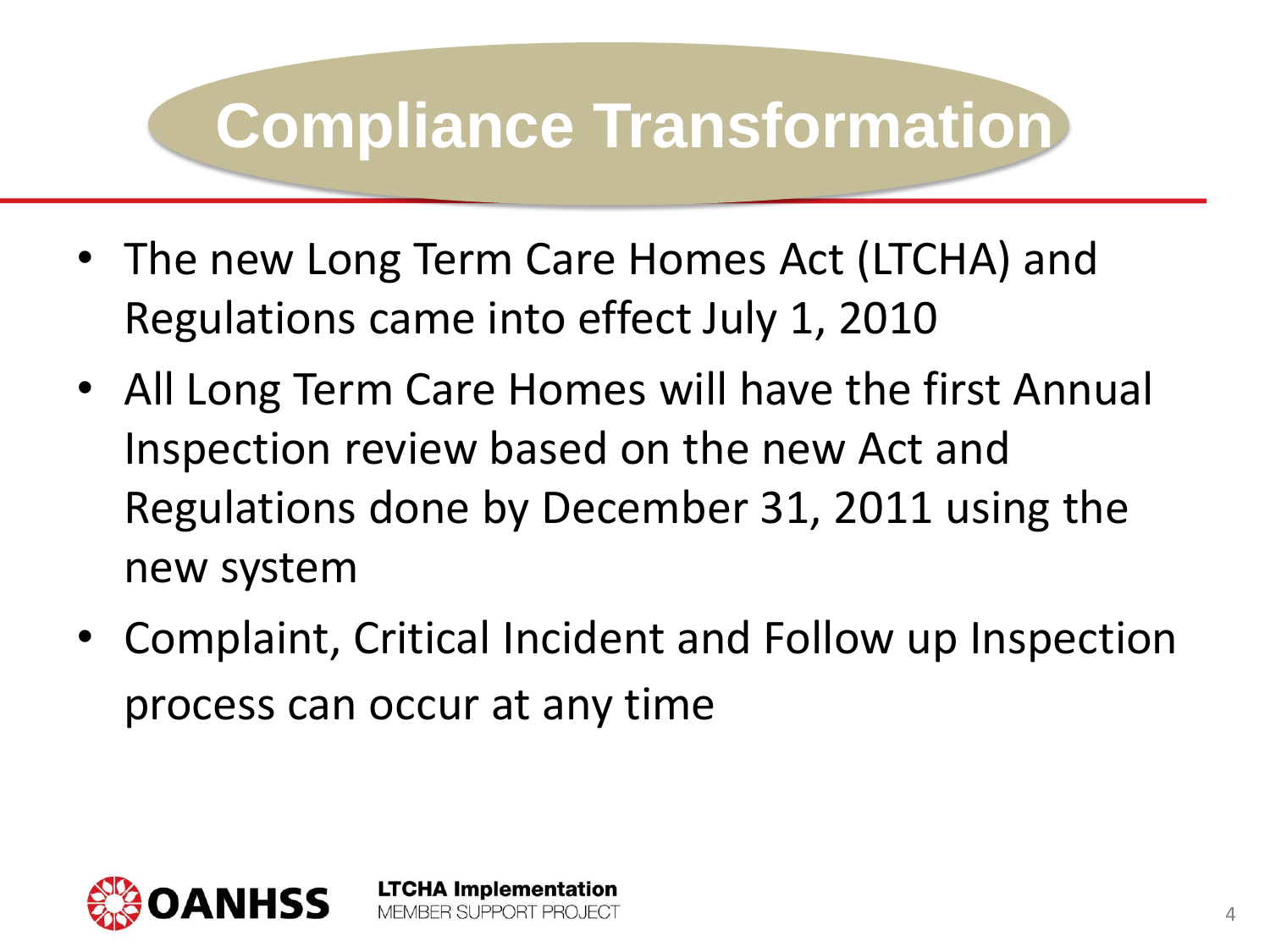- The new Long Term Care Homes Act (LTCHA) and Regulations came into effect July 1, 2010
- All Long Term Care Homes will have the first Annual Inspection review based on the new Act and Regulations done by December 31, 2011 using the new system
- Complaint, Critical Incident and Follow up Inspection process can occur at any time

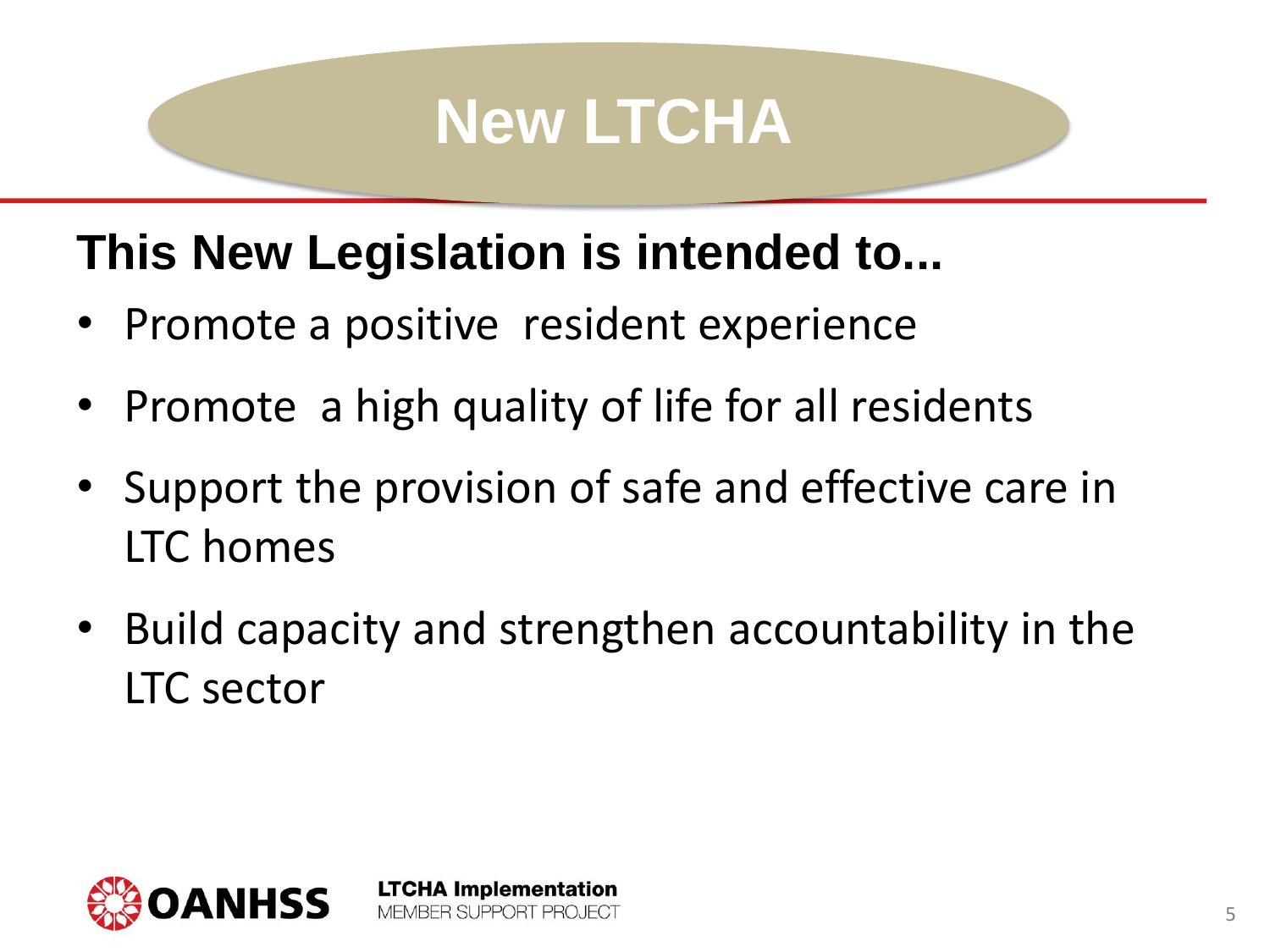#### **New LTCHA**

#### **This New Legislation is intended to...**

• Promote a positive resident experience

- Promote a high quality of life for all residents
- Support the provision of safe and effective care in LTC homes
- Build capacity and strengthen accountability in the LTC sector

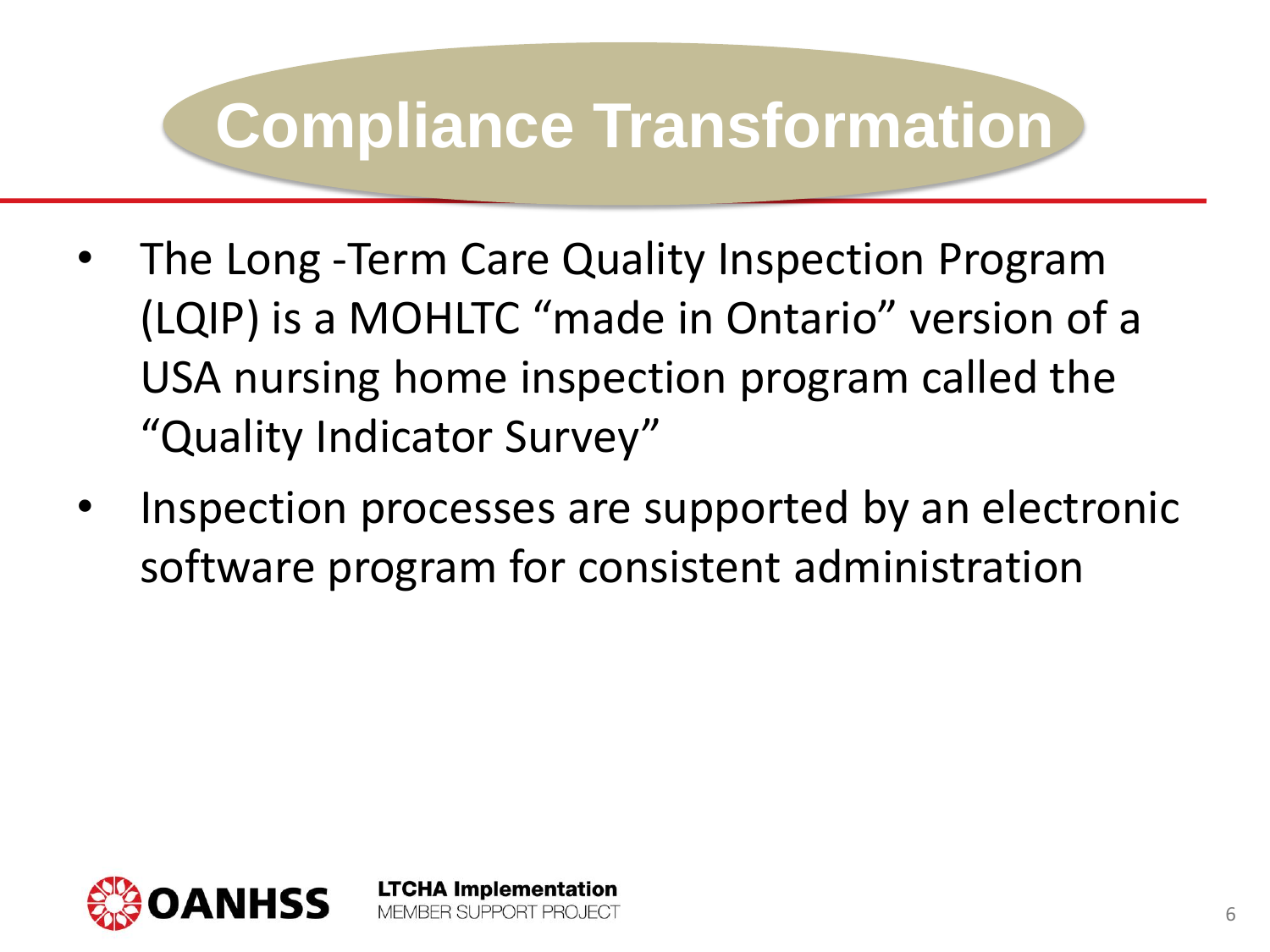- The Long -Term Care Quality Inspection Program (LQIP) is a MOHLTC "made in Ontario" version of a USA nursing home inspection program called the "Quality Indicator Survey"
- Inspection processes are supported by an electronic software program for consistent administration

**LTCHA Implementation** BER SLIPPORT PROJECT



6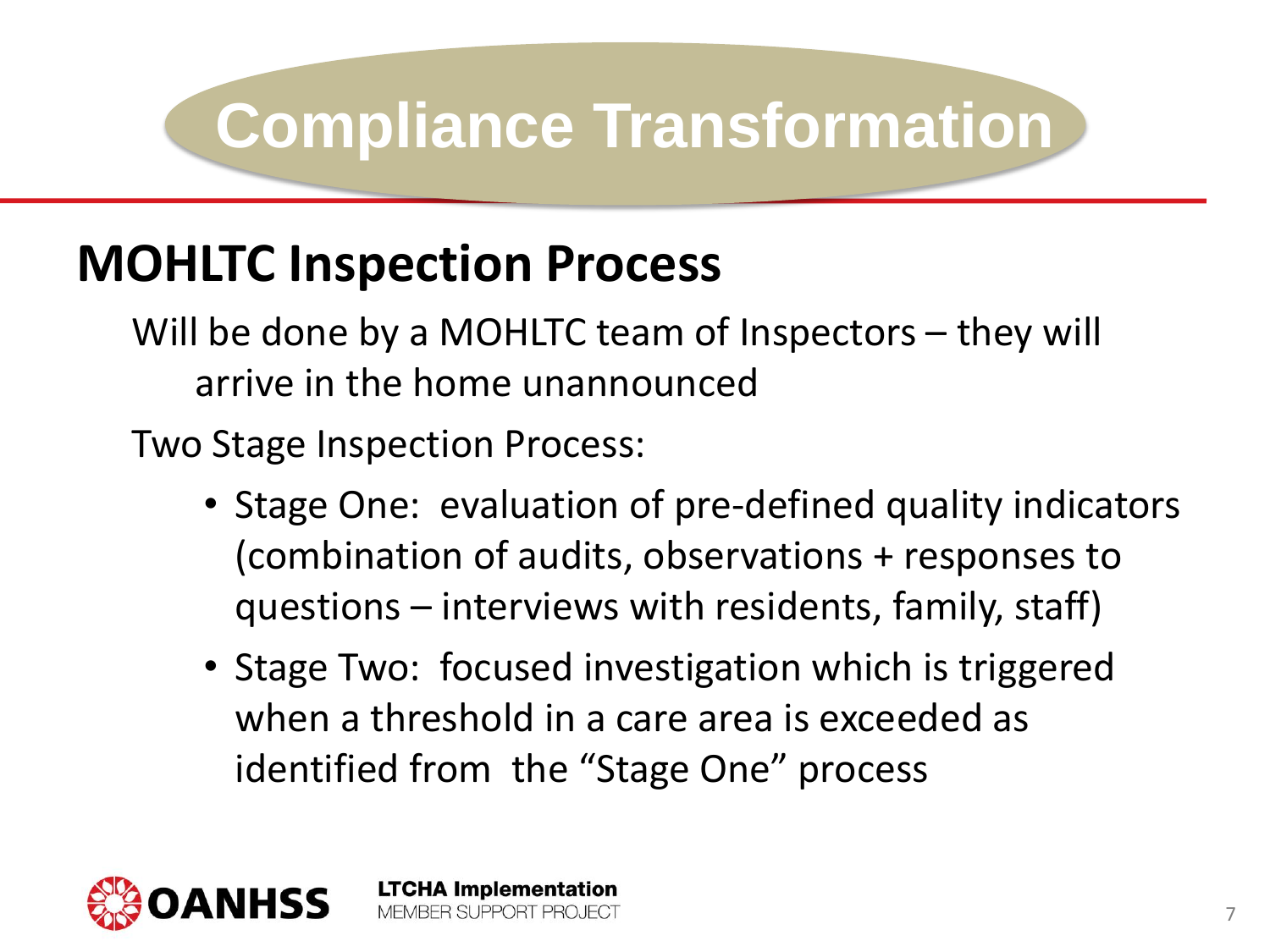#### **MOHLTC Inspection Process**

Will be done by a MOHLTC team of Inspectors – they will arrive in the home unannounced

Two Stage Inspection Process:

- Stage One: evaluation of pre-defined quality indicators (combination of audits, observations + responses to questions – interviews with residents, family, staff)
- Stage Two: focused investigation which is triggered when a threshold in a care area is exceeded as identified from the "Stage One" process

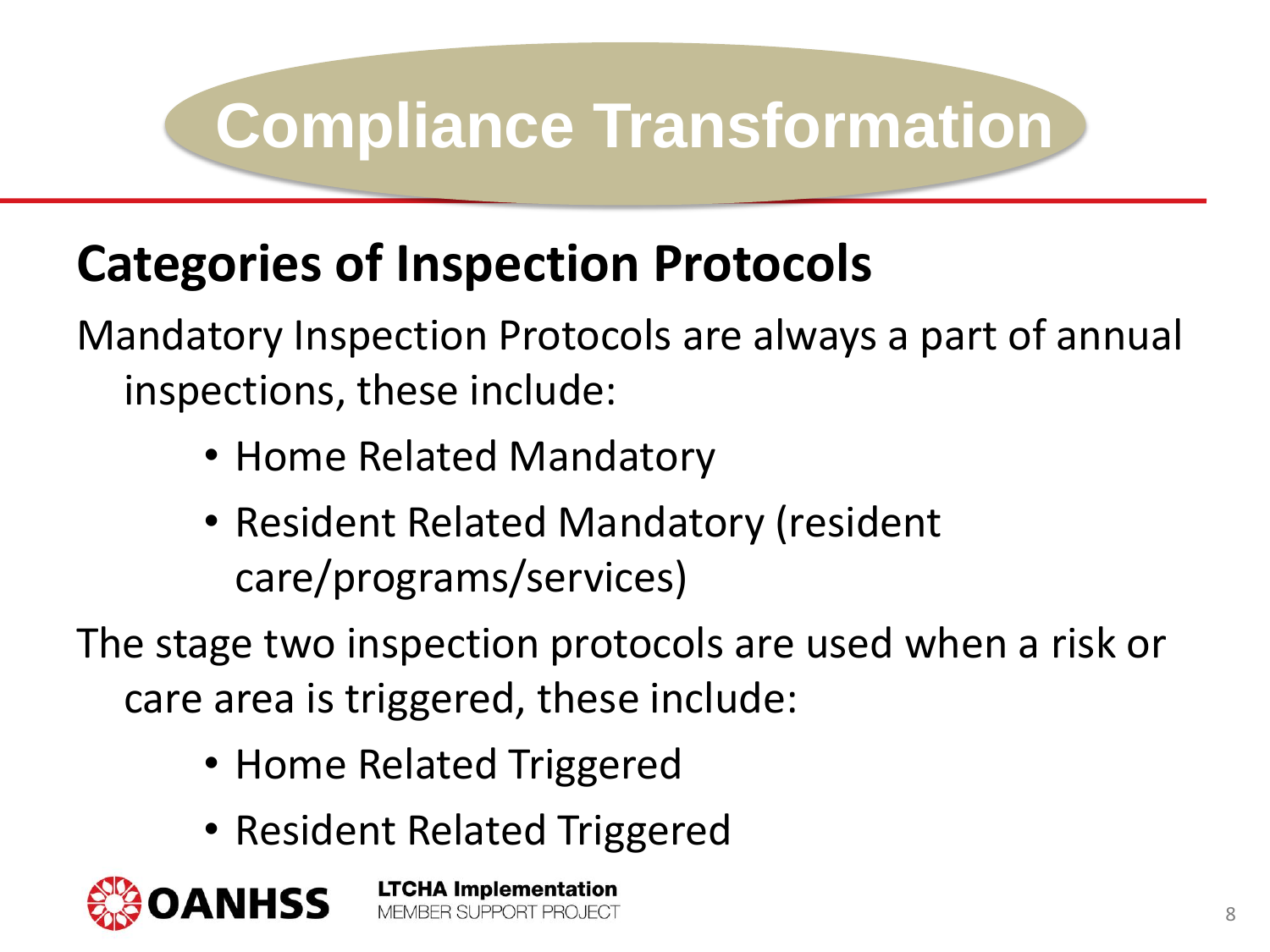#### **Categories of Inspection Protocols**

Mandatory Inspection Protocols are always a part of annual inspections, these include:

- Home Related Mandatory
- Resident Related Mandatory (resident care/programs/services)

The stage two inspection protocols are used when a risk or care area is triggered, these include:

- Home Related Triggered
- Resident Related Triggered

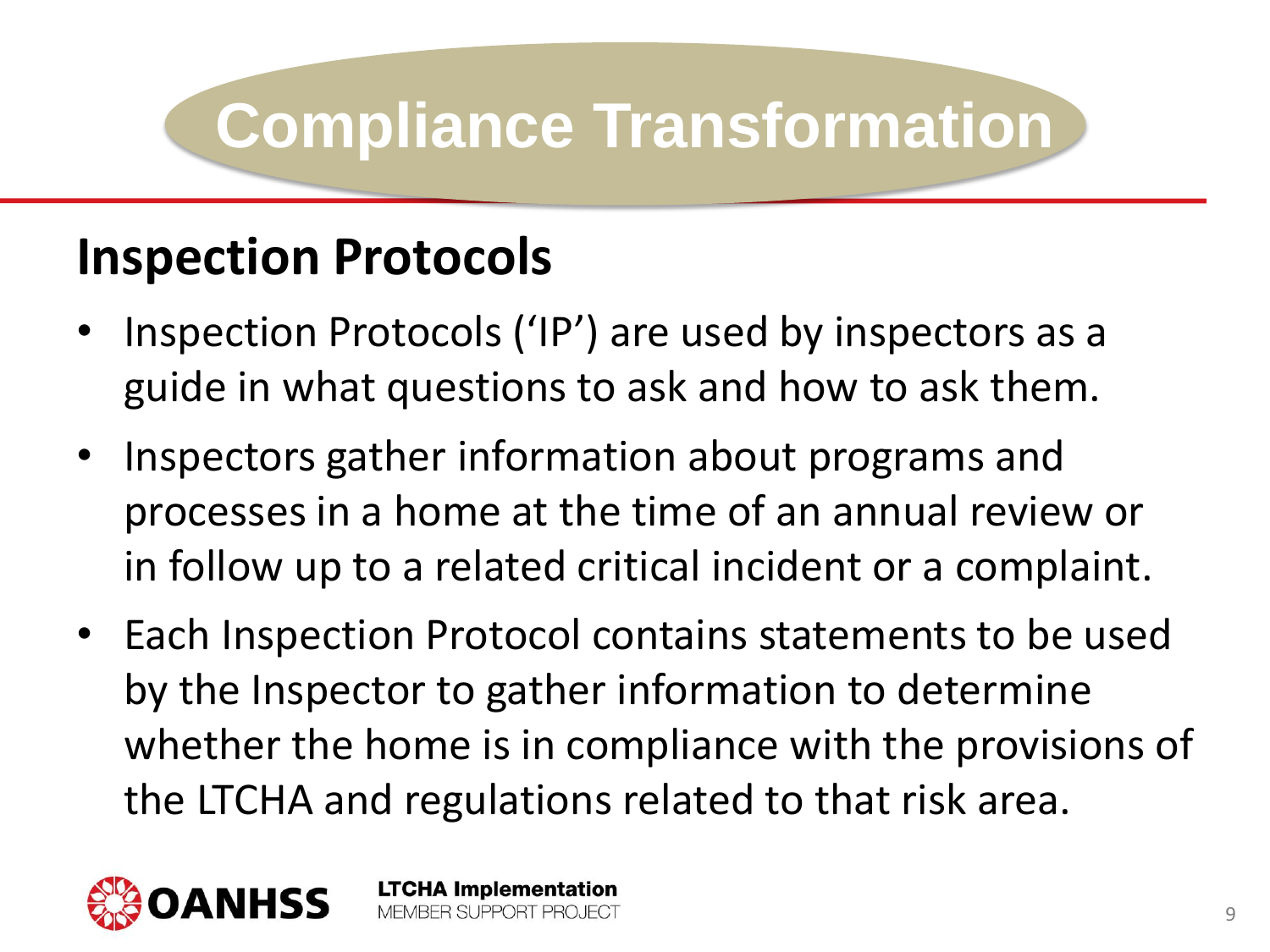#### **Inspection Protocols**

- Inspection Protocols ('IP') are used by inspectors as a guide in what questions to ask and how to ask them.
- Inspectors gather information about programs and processes in a home at the time of an annual review or in follow up to a related critical incident or a complaint.
- Each Inspection Protocol contains statements to be used by the Inspector to gather information to determine whether the home is in compliance with the provisions of the LTCHA and regulations related to that risk area.

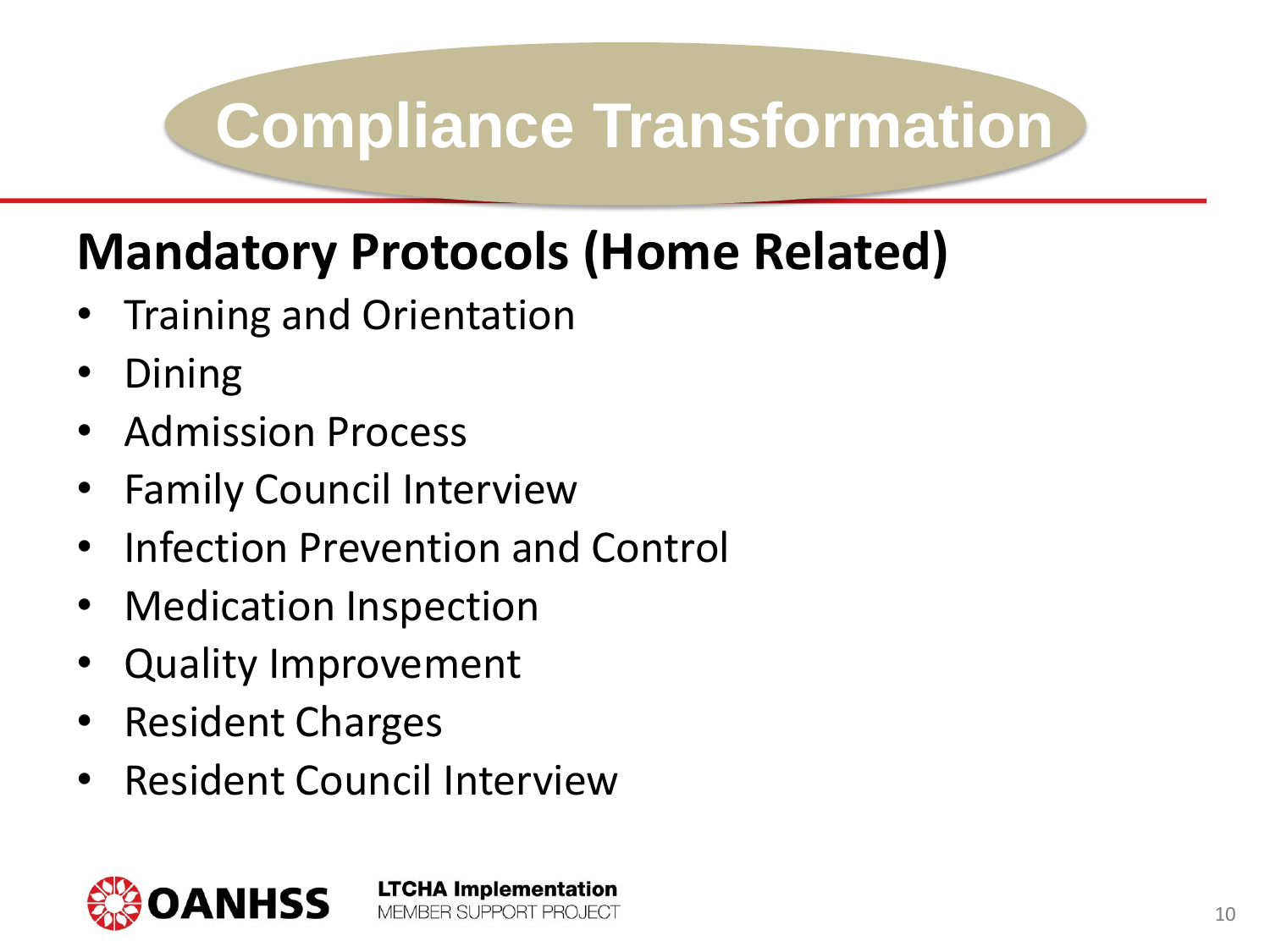#### **Mandatory Protocols (Home Related)**

- Training and Orientation
- Dining
- Admission Process
- **Family Council Interview**
- Infection Prevention and Control
- Medication Inspection
- Quality Improvement
- Resident Charges
- Resident Council Interview

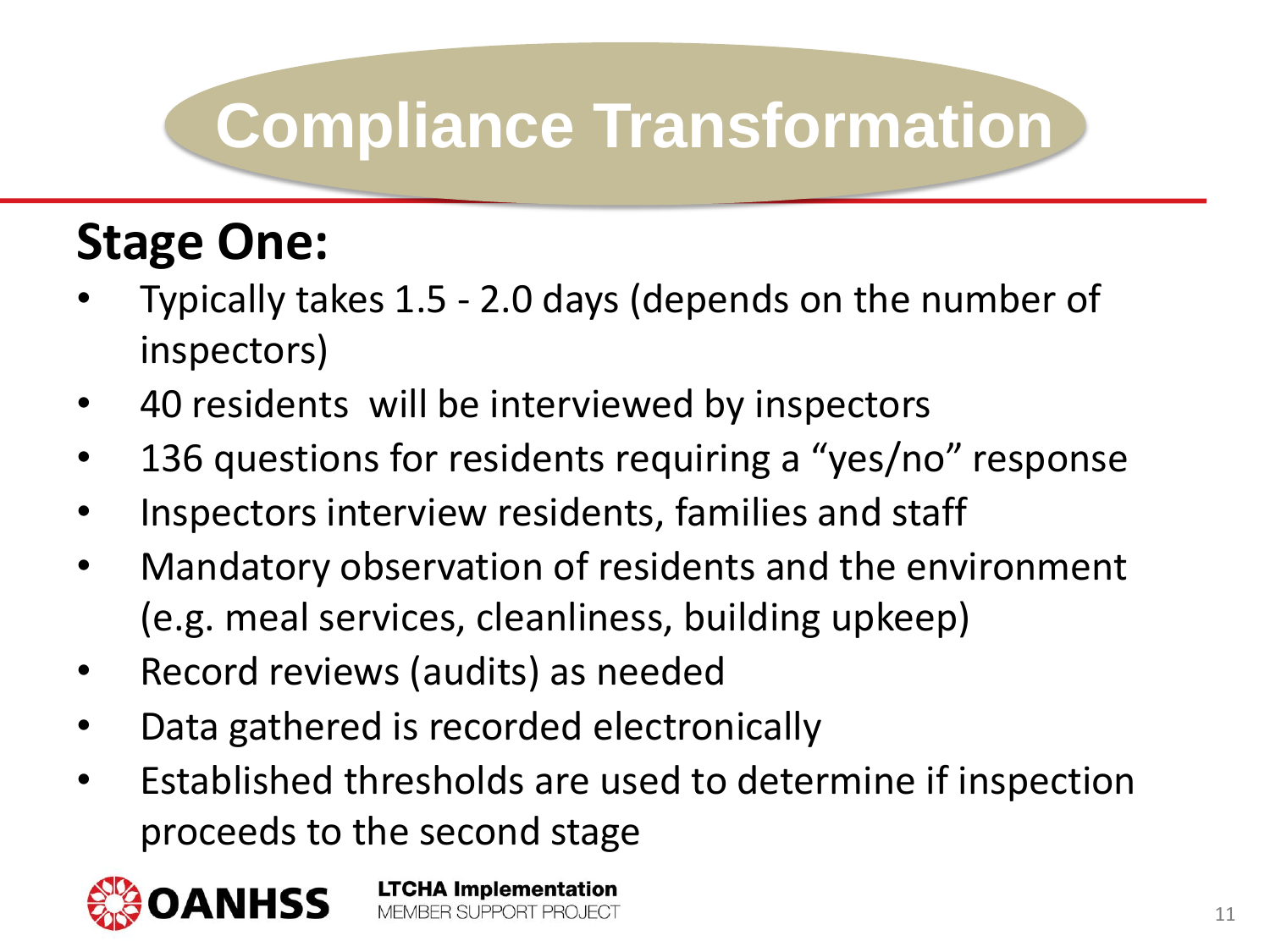#### **Stage One:**

- Typically takes 1.5 2.0 days (depends on the number of inspectors)
- 40 residents will be interviewed by inspectors
- 136 questions for residents requiring a "yes/no" response
- Inspectors interview residents, families and staff
- Mandatory observation of residents and the environment (e.g. meal services, cleanliness, building upkeep)
- Record reviews (audits) as needed
- Data gathered is recorded electronically

**LTCHA Implementation** MEMBER SUPPORT PROJECT

• Established thresholds are used to determine if inspection proceeds to the second stage

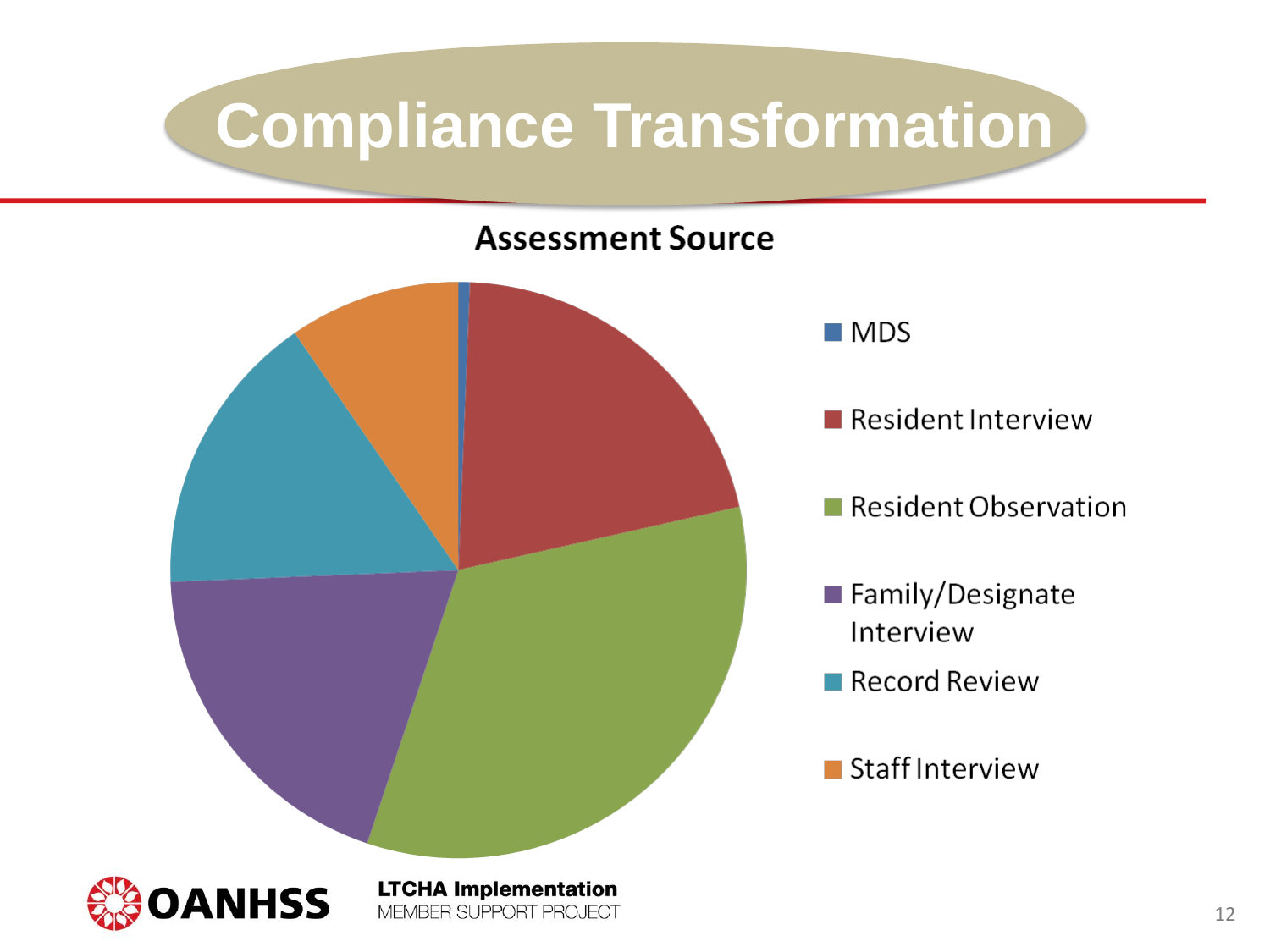#### **Assessment Source**



 $\blacksquare$  MDS

Resident Interview

Resident Observation

- Family/Designate Interview
- Record Review
- Staff Interview

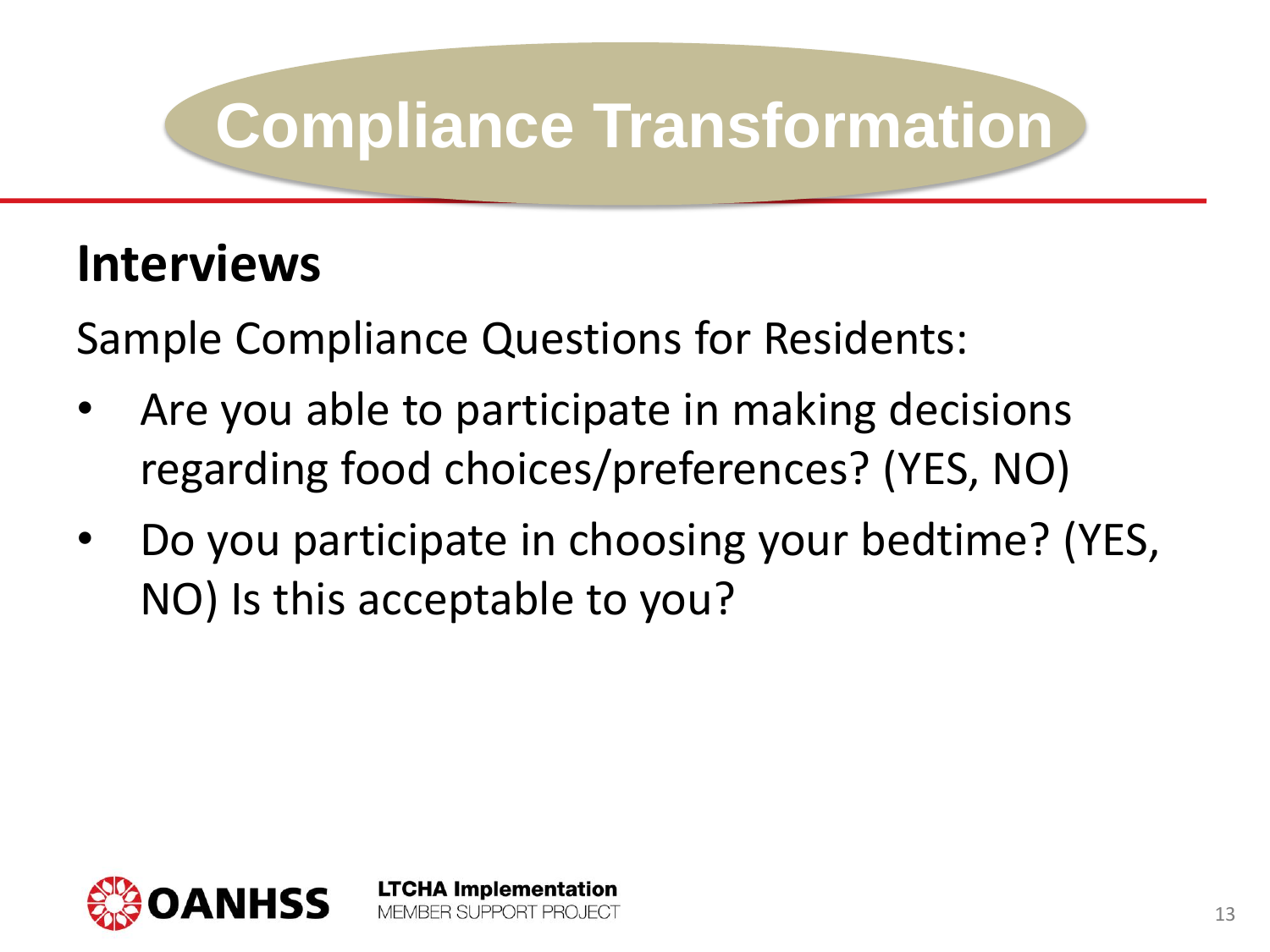#### **Interviews**

Sample Compliance Questions for Residents:

- Are you able to participate in making decisions regarding food choices/preferences? (YES, NO)
- Do you participate in choosing your bedtime? (YES, NO) Is this acceptable to you?

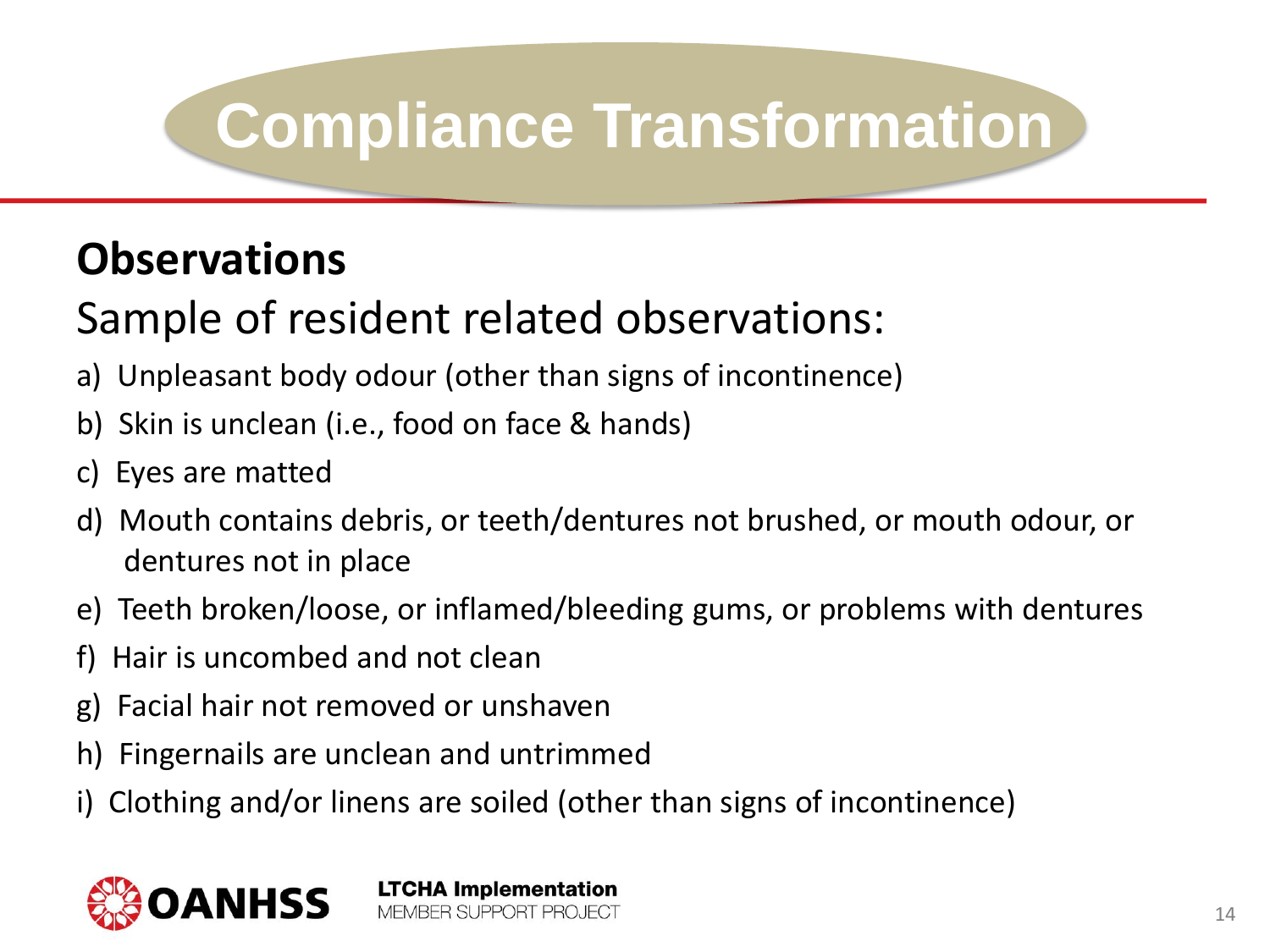#### **Observations**

#### Sample of resident related observations:

- a) Unpleasant body odour (other than signs of incontinence)
- b) Skin is unclean (i.e., food on face & hands)
- c) Eyes are matted
- d) Mouth contains debris, or teeth/dentures not brushed, or mouth odour, or dentures not in place
- e) Teeth broken/loose, or inflamed/bleeding gums, or problems with dentures
- f) Hair is uncombed and not clean
- g) Facial hair not removed or unshaven
- h) Fingernails are unclean and untrimmed
- i) Clothing and/or linens are soiled (other than signs of incontinence)

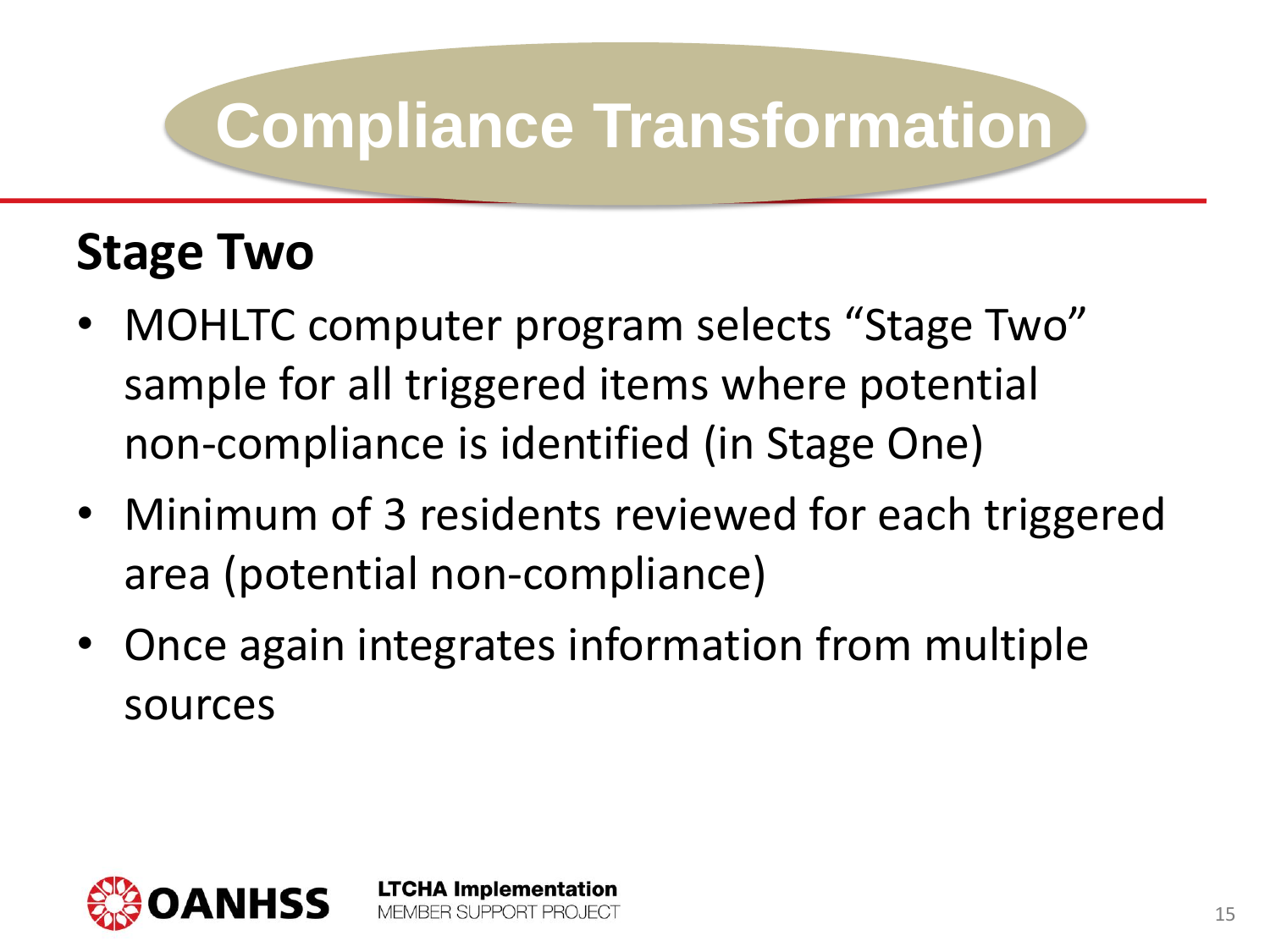#### **Stage Two**

- MOHLTC computer program selects "Stage Two" sample for all triggered items where potential non-compliance is identified (in Stage One)
- Minimum of 3 residents reviewed for each triggered area (potential non-compliance)
- Once again integrates information from multiple sources

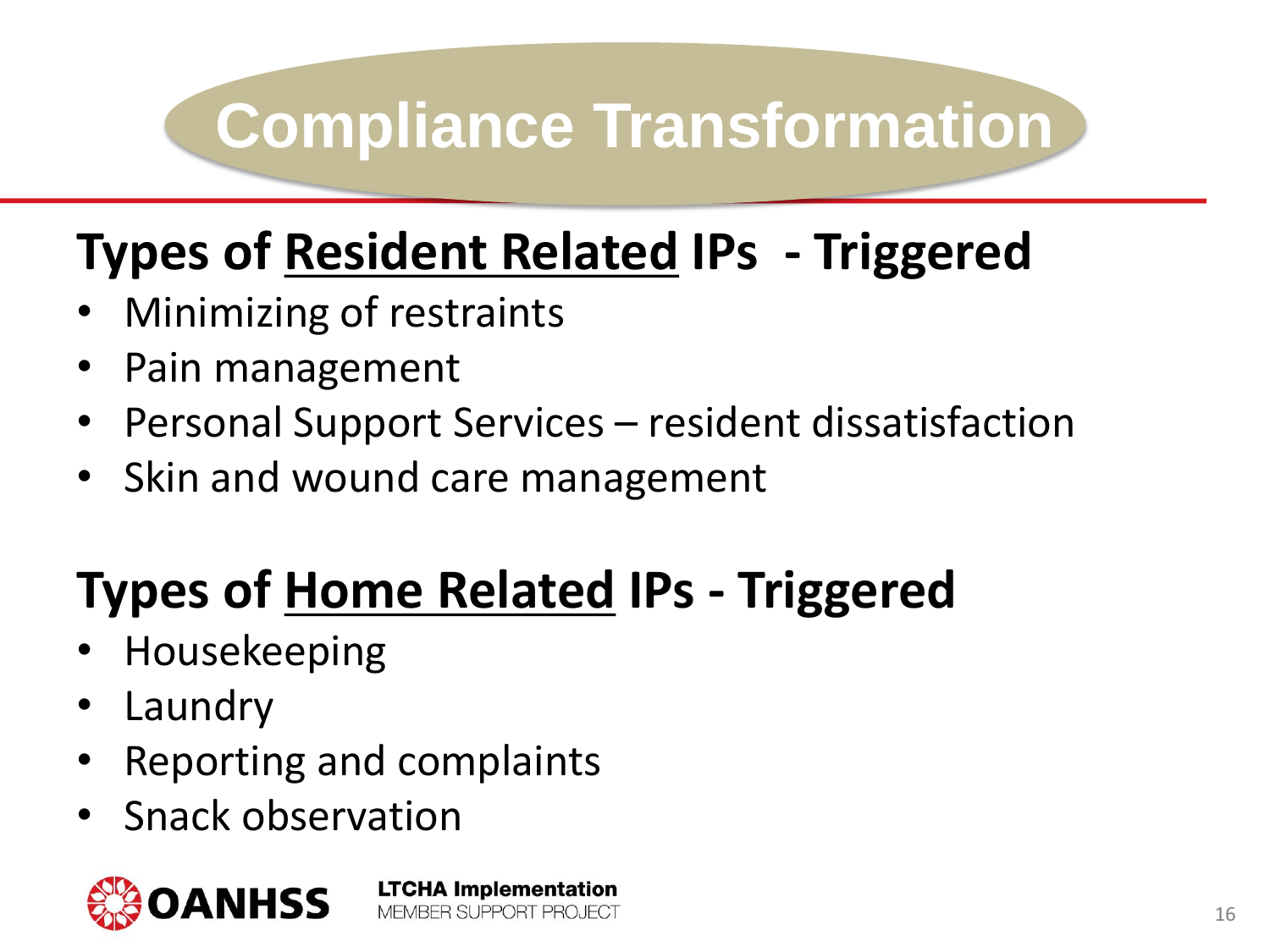#### **Types of Resident Related IPs - Triggered**

- Minimizing of restraints
- Pain management
- Personal Support Services resident dissatisfaction
- Skin and wound care management

#### **Types of Home Related IPs - Triggered**

**LTCHA Implementation** 

MEMBER SUPPORT PROJECT

- Housekeeping
- **Laundry**
- Reporting and complaints
- Snack observation

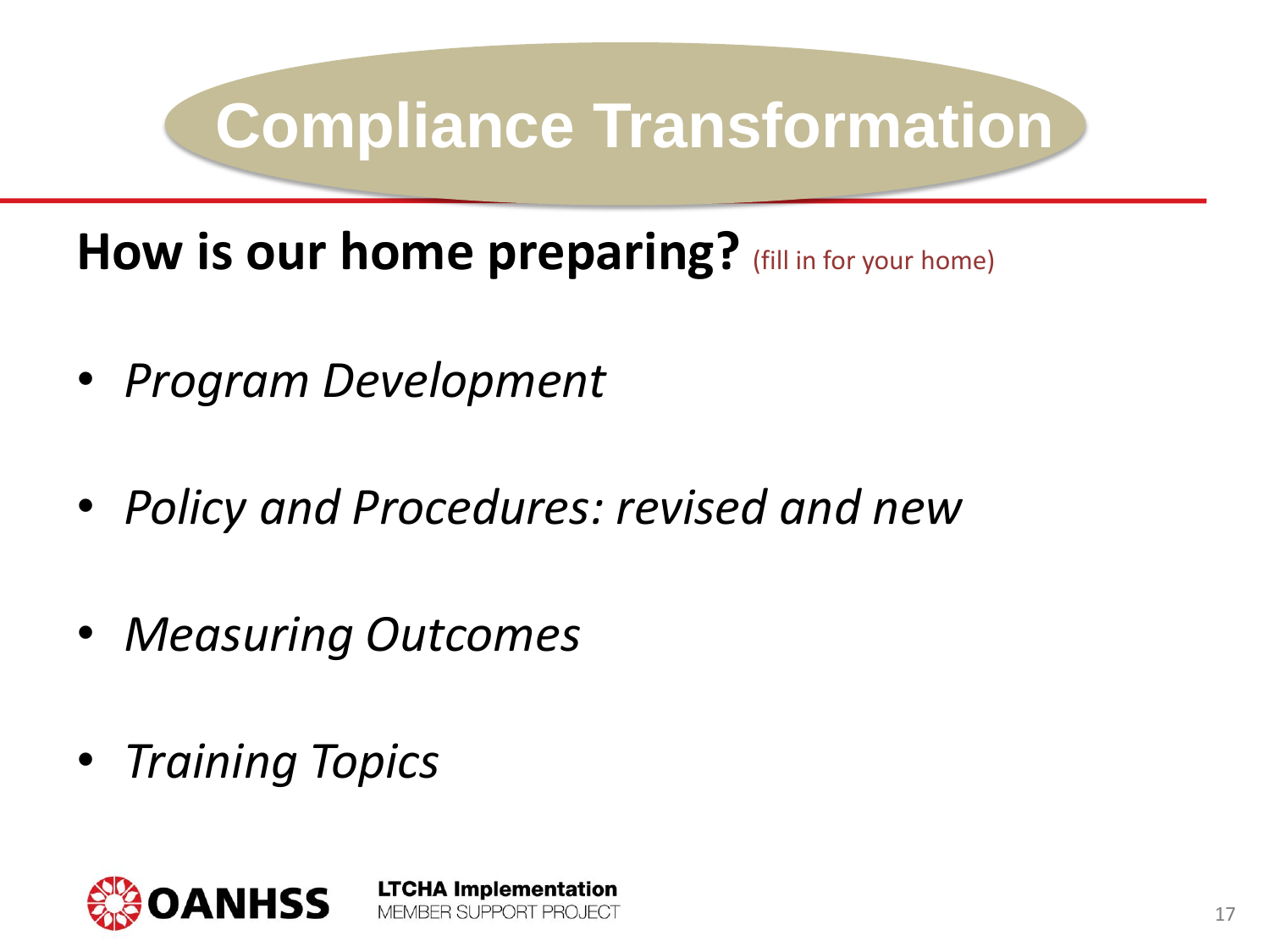How is our home preparing? (fill in for your home)

- *Program Development*
- *Policy and Procedures: revised and new*

**LTCHA Implementation** 

MEMBER SUPPORT PROJECT

- *Measuring Outcomes*
- *Training Topics*

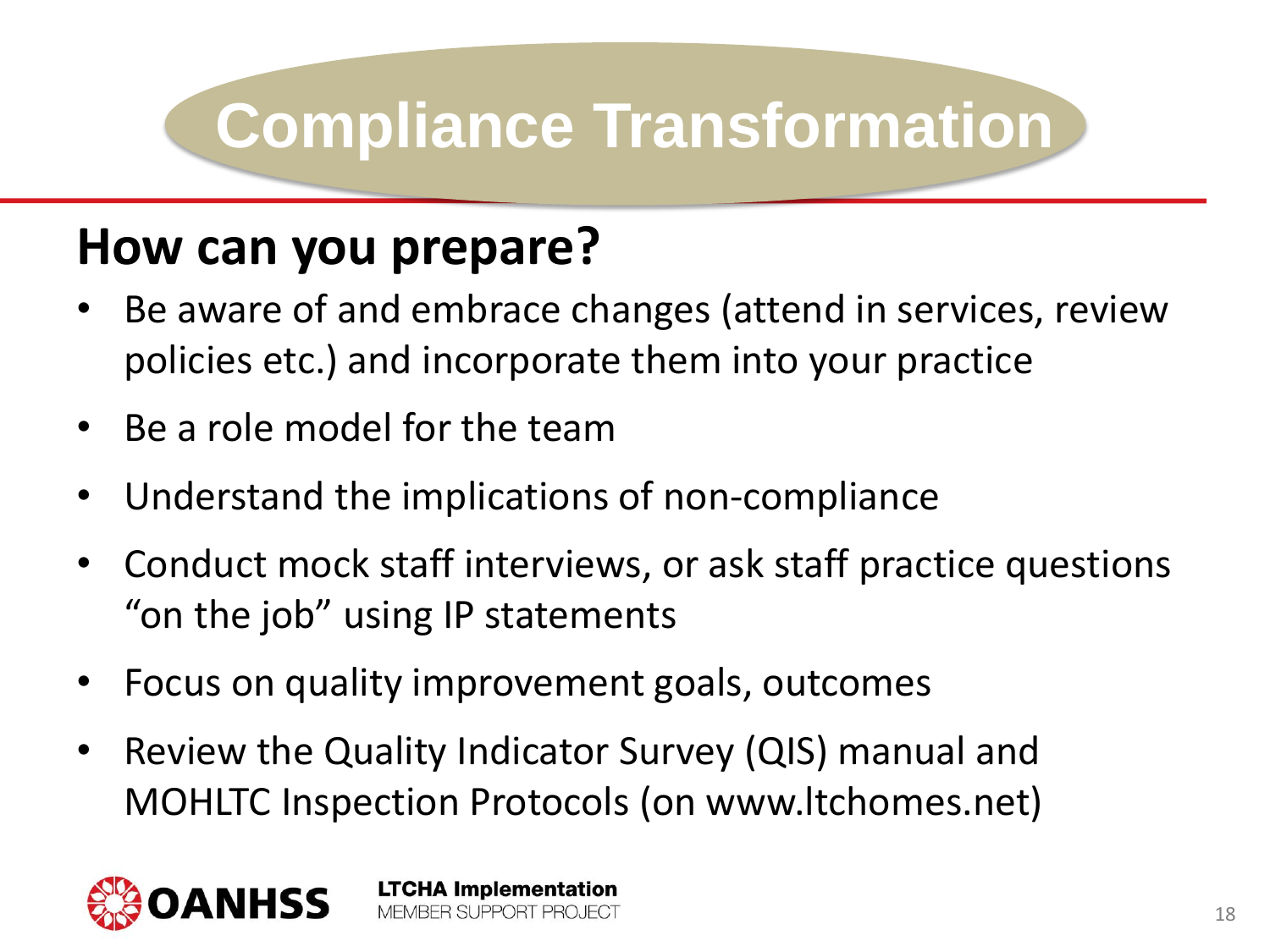#### **How can you prepare?**

- Be aware of and embrace changes (attend in services, review policies etc.) and incorporate them into your practice
- Be a role model for the team
- Understand the implications of non-compliance
- Conduct mock staff interviews, or ask staff practice questions "on the job" using IP statements
- Focus on quality improvement goals, outcomes

**LTCHA Implementation** MEMBER SUPPORT PROJECT

• Review the Quality Indicator Survey (QIS) manual and MOHLTC Inspection Protocols (on www.ltchomes.net)